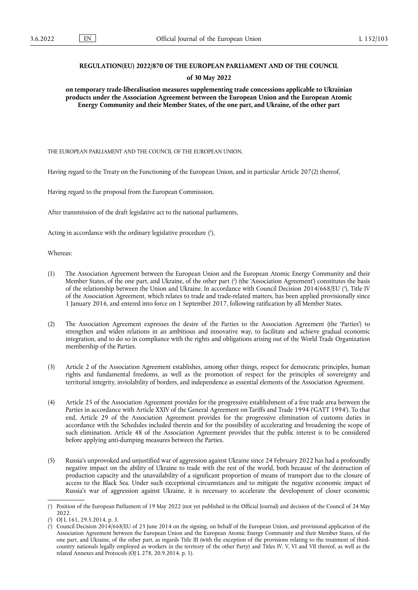# **REGULATION(EU) 2022/870 OF THE EUROPEAN PARLIAMENT AND OF THE COUNCIL**

### **of 30 May 2022**

**on temporary trade-liberalisation measures supplementing trade concessions applicable to Ukrainian products under the Association Agreement between the European Union and the European Atomic Energy Community and their Member States, of the one part, and Ukraine, of the other part** 

THE EUROPEAN PARLIAMENT AND THE COUNCIL OF THE EUROPEAN UNION,

Having regard to the Treaty on the Functioning of the European Union, and in particular Article 207(2) thereof,

Having regard to the proposal from the European Commission,

After transmission of the draft legislative act to the national parliaments,

<span id="page-0-3"></span>Acting in accordance with the ordinary legislative procedure [\(](#page-0-0) 1 ),

Whereas:

- <span id="page-0-5"></span><span id="page-0-4"></span>(1) The Association Agreement between the European Union and the European Atomic Energy Community and their Member States, of the one part, and Ukraine, of the other part [\(](#page-0-1) 2 ) (the 'Association Agreement') constitutes the basis of the relationship between the Union and Ukraine. In accordance with Council Decision 2014/668/EU (<sup>3</sup>[\),](#page-0-2) Title IV of the Association Agreement, which relates to trade and trade-related matters, has been applied provisionally since 1 January 2016, and entered into force on 1 September 2017, following ratification by all Member States.
- (2) The Association Agreement expresses the desire of the Parties to the Association Agreement (the 'Parties') to strengthen and widen relations in an ambitious and innovative way, to facilitate and achieve gradual economic integration, and to do so in compliance with the rights and obligations arising out of the World Trade Organization membership of the Parties.
- (3) Article 2 of the Association Agreement establishes, among other things, respect for democratic principles, human rights and fundamental freedoms, as well as the promotion of respect for the principles of sovereignty and territorial integrity, inviolability of borders, and independence as essential elements of the Association Agreement.
- (4) Article 25 of the Association Agreement provides for the progressive establishment of a free trade area between the Parties in accordance with Article XXIV of the General Agreement on Tariffs and Trade 1994 ('GATT 1994'). To that end, Article 29 of the Association Agreement provides for the progressive elimination of customs duties in accordance with the Schedules included therein and for the possibility of accelerating and broadening the scope of such elimination. Article 48 of the Association Agreement provides that the public interest is to be considered before applying anti-dumping measures between the Parties.
- (5) Russia's unprovoked and unjustified war of aggression against Ukraine since 24 February 2022 has had a profoundly negative impact on the ability of Ukraine to trade with the rest of the world, both because of the destruction of production capacity and the unavailability of a significant proportion of means of transport due to the closure of access to the Black Sea. Under such exceptional circumstances and to mitigate the negative economic impact of Russia's war of aggression against Ukraine, it is necessary to accelerate the development of closer economic

<span id="page-0-0"></span>[<sup>\(</sup>](#page-0-3) 1 ) Position of the European Parliament of 19 May 2022 (not yet published in the Official Journal) and decision of the Council of 24 May 2022.

<span id="page-0-1"></span>[<sup>\(</sup>](#page-0-4) 2 ) OJ L 161, 29.5.2014, p. 3.

<span id="page-0-2"></span>[<sup>\(</sup>](#page-0-5) 3 ) Council Decision 2014/668/EU of 23 June 2014 on the signing, on behalf of the European Union, and provisional application of the Association Agreement between the European Union and the European Atomic Energy Community and their Member States, of the one part, and Ukraine, of the other part, as regards Title III (with the exception of the provisions relating to the treatment of thirdcountry nationals legally employed as workers in the territory of the other Party) and Titles IV, V, VI and VII thereof, as well as the related Annexes and Protocols (OJ L 278, 20.9.2014, p. 1).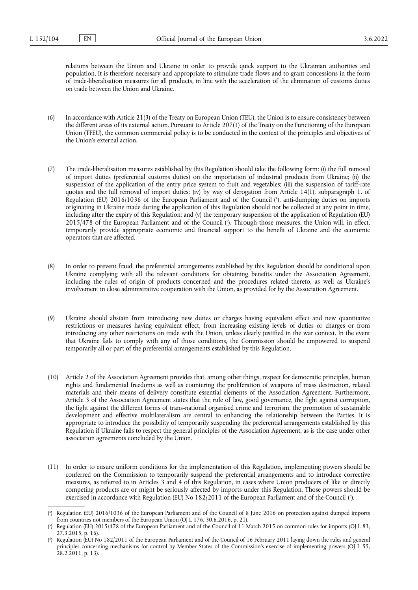relations between the Union and Ukraine in order to provide quick support to the Ukrainian authorities and population. It is therefore necessary and appropriate to stimulate trade flows and to grant concessions in the form of trade-liberalisation measures for all products, in line with the acceleration of the elimination of customs duties on trade between the Union and Ukraine.

- (6) In accordance with Article 21(3) of the Treaty on European Union (TEU), the Union is to ensure consistency between the different areas of its external action. Pursuant to Article 207(1) of the Treaty on the Functioning of the European Union (TFEU), the common commercial policy is to be conducted in the context of the principles and objectives of the Union's external action.
- <span id="page-1-3"></span>(7) The trade-liberalisation measures established by this Regulation should take the following form: (i) the full removal of import duties (preferential customs duties) on the importation of industrial products from Ukraine; (ii) the suspension of the application of the entry price system to fruit and vegetables; (iii) the suspension of tariff-rate quotas and the full removal of import duties; (iv) by way of derogation from Article 14(1), subparagraph 1, of Regulation (EU) 2016/1036 of the European Parliament and of the Council ( 4 [\),](#page-1-0) anti-dumping duties on imports originating in Ukraine made during the application of this Regulation should not be collected at any point in time, including after the expiry of this Regulation; and (v) the temporary suspension of the application of Regulation (EU) 2015/478 of the European Parliament and of the Council ( 5 [\).](#page-1-1) Through those measures, the Union will, in effect, temporarily provide appropriate economic and financial support to the benefit of Ukraine and the economic operators that are affected.
- <span id="page-1-4"></span>(8) In order to prevent fraud, the preferential arrangements established by this Regulation should be conditional upon Ukraine complying with all the relevant conditions for obtaining benefits under the Association Agreement, including the rules of origin of products concerned and the procedures related thereto, as well as Ukraine's involvement in close administrative cooperation with the Union, as provided for by the Association Agreement.
- (9) Ukraine should abstain from introducing new duties or charges having equivalent effect and new quantitative restrictions or measures having equivalent effect, from increasing existing levels of duties or charges or from introducing any other restrictions on trade with the Union, unless clearly justified in the war context. In the event that Ukraine fails to comply with any of those conditions, the Commission should be empowered to suspend temporarily all or part of the preferential arrangements established by this Regulation.
- (10) Article 2 of the Association Agreement provides that, among other things, respect for democratic principles, human rights and fundamental freedoms as well as countering the proliferation of weapons of mass destruction, related materials and their means of delivery constitute essential elements of the Association Agreement. Furthermore, Article 3 of the Association Agreement states that the rule of law, good governance, the fight against corruption, the fight against the different forms of trans-national organised crime and terrorism, the promotion of sustainable development and effective multilateralism are central to enhancing the relationship between the Parties. It is appropriate to introduce the possibility of temporarily suspending the preferential arrangements established by this Regulation if Ukraine fails to respect the general principles of the Association Agreement, as is the case under other association agreements concluded by the Union.
- (11) In order to ensure uniform conditions for the implementation of this Regulation, implementing powers should be conferred on the Commission to temporarily suspend the preferential arrangements and to introduce corrective measures, as referred to in Articles 3 and 4 of this Regulation, in cases where Union producers of like or directly competing products are or might be seriously affected by imports under this Regulation. Those powers should be exercised in accordance with Regulation [\(](#page-1-2)EU) No 182/2011 of the European Parliament and of the Council (°).

<span id="page-1-5"></span><span id="page-1-0"></span>[<sup>\(</sup>](#page-1-3) 4 ) Regulation (EU) 2016/1036 of the European Parliament and of the Council of 8 June 2016 on protection against dumped imports from countries not members of the European Union (OJ L 176, 30.6.2016, p. 21).

<span id="page-1-1"></span>[<sup>\(</sup>](#page-1-4) 5 ) Regulation (EU) 2015/478 of the European Parliament and of the Council of 11 March 2015 on common rules for imports (OJ L 83, 27.3.2015, p. 16).

<span id="page-1-2"></span>[<sup>\(</sup>](#page-1-5) 6 ) Regulation (EU) No 182/2011 of the European Parliament and of the Council of 16 February 2011 laying down the rules and general principles concerning mechanisms for control by Member States of the Commission's exercise of implementing powers (OJ L 55, 28.2.2011, p. 13).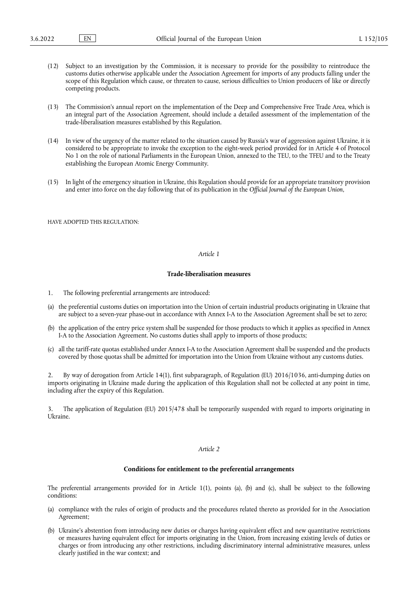- (12) Subject to an investigation by the Commission, it is necessary to provide for the possibility to reintroduce the customs duties otherwise applicable under the Association Agreement for imports of any products falling under the scope of this Regulation which cause, or threaten to cause, serious difficulties to Union producers of like or directly competing products.
- (13) The Commission's annual report on the implementation of the Deep and Comprehensive Free Trade Area, which is an integral part of the Association Agreement, should include a detailed assessment of the implementation of the trade-liberalisation measures established by this Regulation.
- (14) In view of the urgency of the matter related to the situation caused by Russia's war of aggression against Ukraine, it is considered to be appropriate to invoke the exception to the eight-week period provided for in Article 4 of Protocol No 1 on the role of national Parliaments in the European Union, annexed to the TEU, to the TFEU and to the Treaty establishing the European Atomic Energy Community.
- (15) In light of the emergency situation in Ukraine, this Regulation should provide for an appropriate transitory provision and enter into force on the day following that of its publication in the *Official Journal of the European Union*,

HAVE ADOPTED THIS REGULATION:

### *Article 1*

# **Trade-liberalisation measures**

- 1. The following preferential arrangements are introduced:
- (a) the preferential customs duties on importation into the Union of certain industrial products originating in Ukraine that are subject to a seven-year phase-out in accordance with Annex I-A to the Association Agreement shall be set to zero;
- (b) the application of the entry price system shall be suspended for those products to which it applies as specified in Annex I-A to the Association Agreement. No customs duties shall apply to imports of those products;
- (c) all the tariff-rate quotas established under Annex I-A to the Association Agreement shall be suspended and the products covered by those quotas shall be admitted for importation into the Union from Ukraine without any customs duties.

2. By way of derogation from Article 14(1), first subparagraph, of Regulation (EU) 2016/1036, anti-dumping duties on imports originating in Ukraine made during the application of this Regulation shall not be collected at any point in time, including after the expiry of this Regulation.

3. The application of Regulation (EU) 2015/478 shall be temporarily suspended with regard to imports originating in Ukraine.

## *Article 2*

## **Conditions for entitlement to the preferential arrangements**

The preferential arrangements provided for in Article 1(1), points (a), (b) and (c), shall be subject to the following conditions:

- (a) compliance with the rules of origin of products and the procedures related thereto as provided for in the Association Agreement;
- (b) Ukraine's abstention from introducing new duties or charges having equivalent effect and new quantitative restrictions or measures having equivalent effect for imports originating in the Union, from increasing existing levels of duties or charges or from introducing any other restrictions, including discriminatory internal administrative measures, unless clearly justified in the war context; and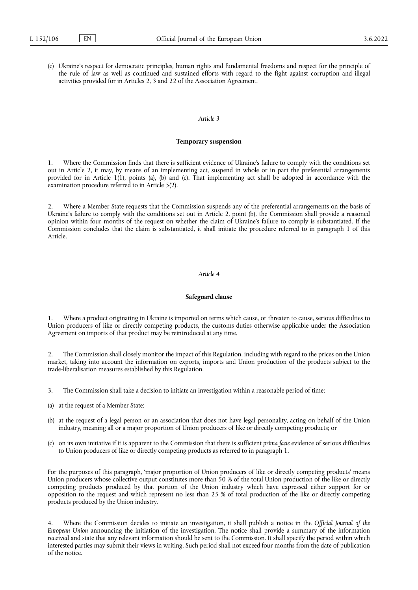(c) Ukraine's respect for democratic principles, human rights and fundamental freedoms and respect for the principle of the rule of law as well as continued and sustained efforts with regard to the fight against corruption and illegal activities provided for in Articles 2, 3 and 22 of the Association Agreement.

## *Article 3*

### **Temporary suspension**

1. Where the Commission finds that there is sufficient evidence of Ukraine's failure to comply with the conditions set out in Article 2, it may, by means of an implementing act, suspend in whole or in part the preferential arrangements provided for in Article 1(1), points (a), (b) and (c). That implementing act shall be adopted in accordance with the examination procedure referred to in Article 5(2).

2. Where a Member State requests that the Commission suspends any of the preferential arrangements on the basis of Ukraine's failure to comply with the conditions set out in Article 2, point (b), the Commission shall provide a reasoned opinion within four months of the request on whether the claim of Ukraine's failure to comply is substantiated. If the Commission concludes that the claim is substantiated, it shall initiate the procedure referred to in paragraph 1 of this Article.

# *Article 4*

#### **Safeguard clause**

1. Where a product originating in Ukraine is imported on terms which cause, or threaten to cause, serious difficulties to Union producers of like or directly competing products, the customs duties otherwise applicable under the Association Agreement on imports of that product may be reintroduced at any time.

2. The Commission shall closely monitor the impact of this Regulation, including with regard to the prices on the Union market, taking into account the information on exports, imports and Union production of the products subject to the trade-liberalisation measures established by this Regulation.

- 3. The Commission shall take a decision to initiate an investigation within a reasonable period of time:
- (a) at the request of a Member State;
- (b) at the request of a legal person or an association that does not have legal personality, acting on behalf of the Union industry, meaning all or a major proportion of Union producers of like or directly competing products; or
- (c) on its own initiative if it is apparent to the Commission that there is sufficient *prima facie* evidence of serious difficulties to Union producers of like or directly competing products as referred to in paragraph 1.

For the purposes of this paragraph, 'major proportion of Union producers of like or directly competing products' means Union producers whose collective output constitutes more than 50 % of the total Union production of the like or directly competing products produced by that portion of the Union industry which have expressed either support for or opposition to the request and which represent no less than 25 % of total production of the like or directly competing products produced by the Union industry.

4. Where the Commission decides to initiate an investigation, it shall publish a notice in the *Official Journal of the European Union* announcing the initiation of the investigation. The notice shall provide a summary of the information received and state that any relevant information should be sent to the Commission. It shall specify the period within which interested parties may submit their views in writing. Such period shall not exceed four months from the date of publication of the notice.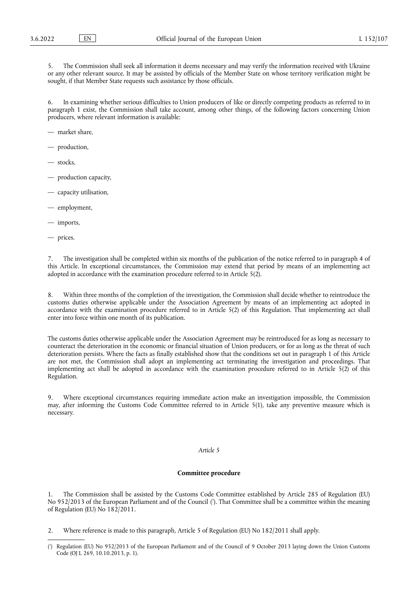The Commission shall seek all information it deems necessary and may verify the information received with Ukraine or any other relevant source. It may be assisted by officials of the Member State on whose territory verification might be sought, if that Member State requests such assistance by those officials.

6. In examining whether serious difficulties to Union producers of like or directly competing products as referred to in paragraph 1 exist, the Commission shall take account, among other things, of the following factors concerning Union producers, where relevant information is available:

— market share,

- production,
- stocks,
- production capacity,
- capacity utilisation,
- employment,
- imports,
- prices.

The investigation shall be completed within six months of the publication of the notice referred to in paragraph 4 of this Article. In exceptional circumstances, the Commission may extend that period by means of an implementing act adopted in accordance with the examination procedure referred to in Article 5(2).

8. Within three months of the completion of the investigation, the Commission shall decide whether to reintroduce the customs duties otherwise applicable under the Association Agreement by means of an implementing act adopted in accordance with the examination procedure referred to in Article 5(2) of this Regulation. That implementing act shall enter into force within one month of its publication.

The customs duties otherwise applicable under the Association Agreement may be reintroduced for as long as necessary to counteract the deterioration in the economic or financial situation of Union producers, or for as long as the threat of such deterioration persists. Where the facts as finally established show that the conditions set out in paragraph 1 of this Article are not met, the Commission shall adopt an implementing act terminating the investigation and proceedings. That implementing act shall be adopted in accordance with the examination procedure referred to in Article 5(2) of this Regulation.

9. Where exceptional circumstances requiring immediate action make an investigation impossible, the Commission may, after informing the Customs Code Committee referred to in Article 5(1), take any preventive measure which is necessary.

### *Article 5*

### **Committee procedure**

<span id="page-4-1"></span>The Commission shall be assisted by the Customs Code Committee established by Article 285 of Regulation (EU) No 952/2013 of the European Parliament and of the Council [\(](#page-4-0) 7 ). That Committee shall be a committee within the meaning of Regulation (EU) No 182/2011.

2. Where reference is made to this paragraph, Article 5 of Regulation (EU) No 182/2011 shall apply.

<span id="page-4-0"></span>[<sup>\(</sup>](#page-4-1) 7 ) Regulation (EU) No 952/2013 of the European Parliament and of the Council of 9 October 2013 laying down the Union Customs Code (OJ L 269, 10.10.2013, p. 1).